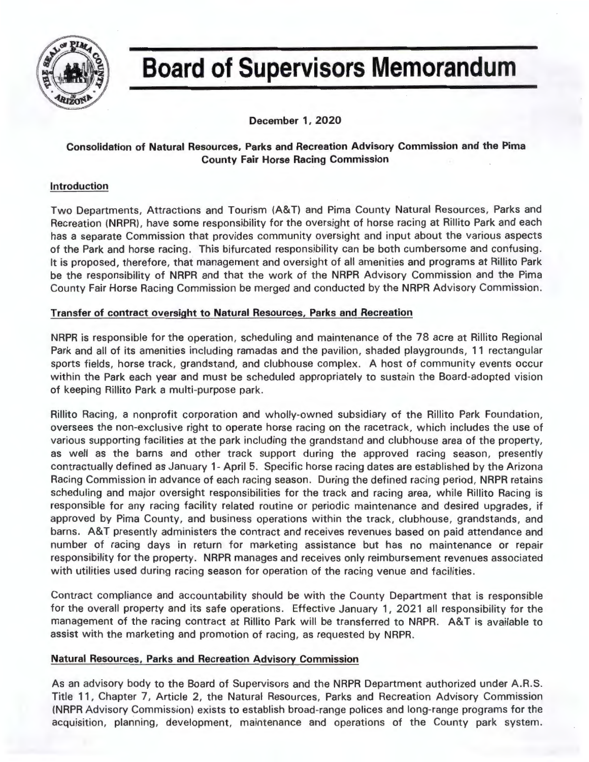

# **Board of Supervisors Memorandum**

**December 1, 2020** 

# **Consolidation of Natural Resources, Parks and Recreation Advisory Commission and the Pima County Fair Horse Racing Commission**

# **Introduction**

Two Departments, Attractions and Tourism (A&T) and Pima County Natural Resources, Parks and Recreation (NRPR), have some responsibility for the oversight of horse racing at Rillito Park and each has a separate Commission that provides community oversight and input about the various aspects of the Park and horse racing. This bifurcated responsibility can be both cumbersome and confusing. It is proposed, therefore, that management and oversight of all amenities and programs at Rillito Park be the responsibility of NRPR and that the work of the NRPR Advisory Commission and the Pima County Fair Horse Racing Commission be merged and conducted by the NRPR Advisory Commission.

# **Transfer of contract oversight to Natural Resources, Parks and Recreation**

NRPR is responsible for the operation, scheduling and maintenance of the 78 acre at Rillito Regional Park and all of its amenities including ramadas and the pavilion, shaded playgrounds, 11 rectangular sports fields, horse track, grandstand, and clubhouse complex. A host of community events occur within the Park each year and must be scheduled appropriately to sustain the Board-adopted vision of keeping Rillito Park a multi-purpose park.

Rillito Racing, a nonprofit corporation and wholly-owned subsidiary of the Rillito Park Foundation, oversees the non-exclusive right to operate horse racing on the racetrack, which includes the use of various supporting facilities at the park including the grandstand and clubhouse area of the property, as well as the barns and other track support during the approved racing season, presently contractually defined as January 1- April 5. Specific horse racing dates are established by the Arizona Racing Commission in advance of each racing season. During the defined racing period, NRPR retains scheduling and major oversight responsibilities for the track and racing area, while Rillito Racing is responsible for any racing facility related routine or periodic maintenance and desired upgrades, if approved by Pima County, and business operations within the track, clubhouse, grandstands, and barns. A&T presently administers the contract and receives revenues based on paid attendance and number of racing days in return for marketing assistance but has no maintenance or repair responsibility for the property. NRPR manages and receives only reimbursement revenues associated with utilities used during racing season for operation of the racing venue and facilities.

Contract compliance and accountability should be with the County Department that is responsible for the overall property and its safe operations. Effective January 1, 2021 all responsibility for the management of the racing contract at Rillito Park will be transferred to NRPR. A&T is available to assist with the marketing and promotion of racing, as requested by NRPR.

## **Natural Resources, Parks and Recreation Advisory Commission**

As an advisory body to the Board of Supervisors and the NRPR Department authorized under A.R.S. Title 11, Chapter 7, Article 2, the Natural Resources , Parks and Recreation Advisory Commission (NRPR Advisory Commission) exists to establish broad-range polices and long-range programs for the acquisition, planning, development, maintenance and operations of the County park system.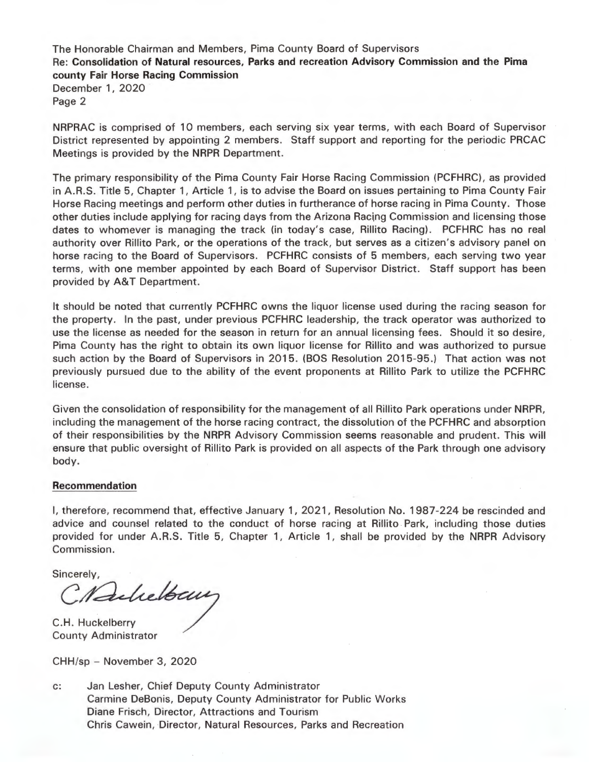The Honorable Chairman and Members, Pima County Board of Supervisors Re: **Consolidation of Natural resources, Parks and recreation Advisory Commission and the Pima county Fair Horse Racing Commission**  December 1, 2020

Page 2

NRPRAC is comprised of 10 members, each serving six year terms, with each Board of Supervisor District represented by appointing 2 members. Staff support and reporting for the periodic PRCAC Meetings is provided by the NRPR Department.

The primary responsibility of the Pima County Fair Horse Racing Commission (PCFHRC), as provided in A.R.S. Title 5, Chapter 1, Article 1, is to advise the Board on issues pertaining to Pima County Fair Horse Racing meetings and perform other duties in furtherance of horse racing in Pima County. Those other duties include applying for racing days from the Arizona Racing Commission and licensing those dates to whomever is managing the track (in today's case, Rillito Racing). PCFHRC has no real authority over Rillito Park, or the operations of the track, but serves as a citizen's advisory panel on horse racing to the Board of Supervisors. PCFHRC consists of 5 members, each serving two year terms, with one member appointed by each Board of Supervisor District. Staff support has been provided by A&T Department.

It should be noted that currently PCFHRC owns the liquor license used during the racing season for the property. In the past, under previous PCFHRC leadership, the track operator was authorized to use the license as needed for the season in return for an annual licensing fees. Should it so desire, Pima County has the right to obtain its own liquor license for Rillito and was authorized to pursue such action by the Board of Supervisors in 2015. (BOS Resolution 2015-95.) That action was not previously pursued due to the ability of the event proponents at Rillito Park to utilize the PCFHRC license.

Given the consolidation of responsibility for the management of all Rillito Park operations under NRPR, including the management of the horse racing contract, the dissolution of the PCFHRC and absorption of their responsibilities by the NRPR Advisory Commission seems reasonable and prudent. This will ensure that public oversight of Rillito Park is provided on all aspects of the Park through one advisory body.

## **Recommendation**

I, therefore, recommend that, effective January 1, 2021, Resolution No. 1987-224 be rescinded and advice and counsel related to the conduct of horse racing at Rillito Park, including those duties provided for under A.R.S. Title 5, Chapter 1, Article 1, shall be provided by the NRPR Advisory Commission.

Sincerely,

C. Aulielbaur

County Administrator

CHH/sp - November 3, 2020

c: Jan Lesher, Chief Deputy County Administrator Carmine DeBonis, Deputy County Administrator for Public Works Diane Frisch, Director, Attractions and Tourism Chris Cawein, Director, Natural Resources, Parks and Recreation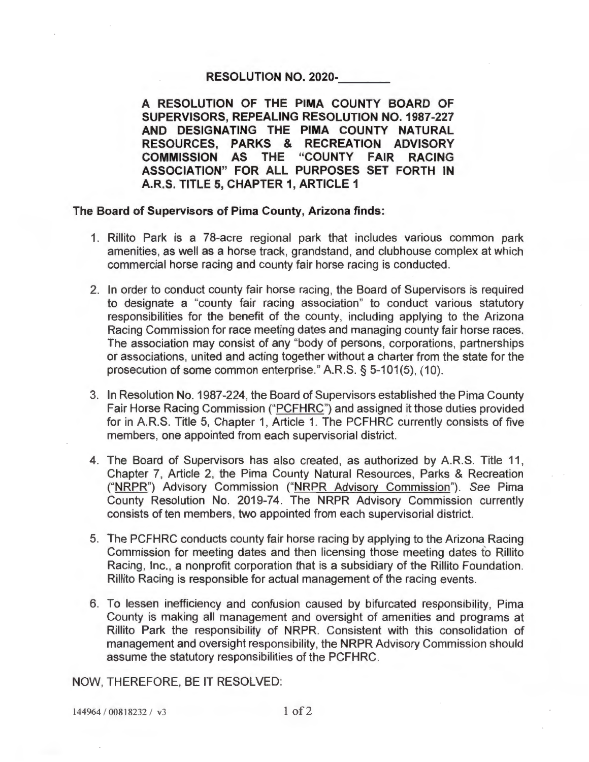## **RESOLUTION NO. 2020-**

**A RESOLUTION OF THE PIMA COUNTY BOARD OF SUPERVISORS, REPEALING RESOLUTION NO. 1987-227 AND DESIGNATING THE PIMA COUNTY NATURAL RESOURCES, PARKS & RECREATION ADVISORY COMMISSION AS THE "COUNTY FAIR RACING ASSOCIATION" FOR ALL PURPOSES SET FORTH IN A.R.S. TITLE 5, CHAPTER 1, ARTICLE 1** 

## **The Board of Supervisors of Pima County, Arizona finds:**

- 1. Rillito Park is a 78-acre regional park that includes various common park amenities, as well as a horse track, grandstand, and clubhouse complex at which commercial horse racing and county fair horse racing is conducted.
- 2. In order to conduct county fair horse racing, the Board of Supervisors is required to designate a "county fair racing association" to conduct various statutory responsibilities for the benefit of the county, including applying to the Arizona Racing Commission for race meeting dates and managing county fair horse races. The association may consist of any "body of persons, corporations, partnerships or associations, united and acting together without a charter from the state for the prosecution of some common enterprise." A.R.S. § 5-101(5), (10).
- 3. In Resolution No. 1987-224, the Board of Supervisors established the Pima County Fair Horse Racing Commission ("PCFHRC") and assigned it those duties provided for in A.R.S. Title 5, Chapter 1, Article 1. The PCFHRC currently consists of five members, one appointed from each supervisorial district.
- 4. The Board of Supervisors has also created, as authorized by A.R.S. Title 11, Chapter 7, Article 2, the Pima County Natural Resources, Parks & Recreation ("NRPR") Advisory Commission ("NRPR Advisory Commission"). See Pima County Resolution No. 2019-74. The NRPR Advisory Commission currently consists of ten members, two appointed from each supervisorial district.
- 5. The PCFHRC conducts county fair horse racing by applying to the Arizona Racing Commission for meeting dates and then licensing those meeting dates fo Rillito Racing, Inc., a nonprofit corporation that is a subsidiary of the Rillito Foundation. Rillito Racing is responsible for actual management of the racing events.
- 6. To lessen inefficiency and confusion caused by bifurcated responsibility, Pima County is making all management and oversight of amenities and programs at Rillito Park the responsibility of NRPR. Consistent with this consolidation of management and oversight responsibility, the NRPR Advisory Commission should assume the statutory responsibilities of the PCFHRC.

NOW, THEREFORE, BE IT RESOLVED:

144964 / 00818232 / v3 1 of 2